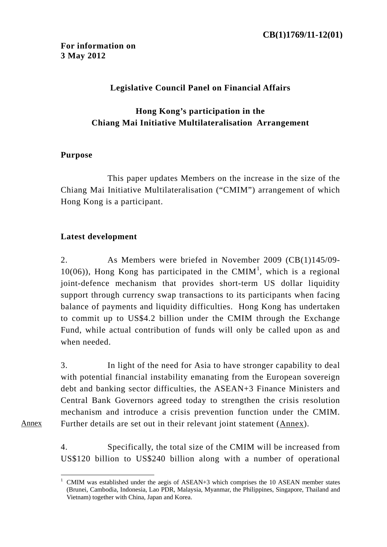# **Legislative Council Panel on Financial Affairs**

# **Hong Kong's participation in the Chiang Mai Initiative Multilateralisation Arrangement**

# **Purpose**

This paper updates Members on the increase in the size of the Chiang Mai Initiative Multilateralisation ("CMIM") arrangement of which Hong Kong is a participant.

# **Latest development**

2. As Members were briefed in November 2009 (CB(1)145/09-  $10(06)$ , Hong Kong has participated in the CMIM<sup>1</sup>, which is a regional joint-defence mechanism that provides short-term US dollar liquidity support through currency swap transactions to its participants when facing balance of payments and liquidity difficulties. Hong Kong has undertaken to commit up to US\$4.2 billion under the CMIM through the Exchange Fund, while actual contribution of funds will only be called upon as and when needed.

3. In light of the need for Asia to have stronger capability to deal with potential financial instability emanating from the European sovereign debt and banking sector difficulties, the ASEAN+3 Finance Ministers and Central Bank Governors agreed today to strengthen the crisis resolution mechanism and introduce a crisis prevention function under the CMIM. Further details are set out in their relevant joint statement (Annex).

Annex

 $\overline{a}$ 

4. Specifically, the total size of the CMIM will be increased from US\$120 billion to US\$240 billion along with a number of operational

<sup>1</sup> CMIM was established under the aegis of ASEAN+3 which comprises the 10 ASEAN member states (Brunei, Cambodia, Indonesia, Lao PDR, Malaysia, Myanmar, the Philippines, Singapore, Thailand and Vietnam) together with China, Japan and Korea.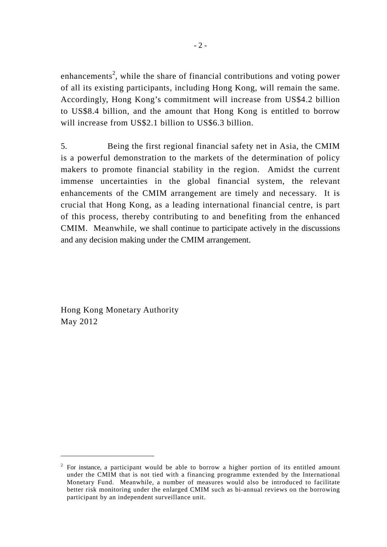enhancements<sup>2</sup>, while the share of financial contributions and voting power of all its existing participants, including Hong Kong, will remain the same. Accordingly, Hong Kong's commitment will increase from US\$4.2 billion to US\$8.4 billion, and the amount that Hong Kong is entitled to borrow will increase from US\$2.1 billion to US\$6.3 billion.

5. Being the first regional financial safety net in Asia, the CMIM is a powerful demonstration to the markets of the determination of policy makers to promote financial stability in the region. Amidst the current immense uncertainties in the global financial system, the relevant enhancements of the CMIM arrangement are timely and necessary. It is crucial that Hong Kong, as a leading international financial centre, is part of this process, thereby contributing to and benefiting from the enhanced CMIM. Meanwhile, we shall continue to participate actively in the discussions and any decision making under the CMIM arrangement.

Hong Kong Monetary Authority May 2012

 $\overline{a}$ 

<sup>2</sup> For instance, a participant would be able to borrow a higher portion of its entitled amount under the CMIM that is not tied with a financing programme extended by the International Monetary Fund. Meanwhile, a number of measures would also be introduced to facilitate better risk monitoring under the enlarged CMIM such as bi-annual reviews on the borrowing participant by an independent surveillance unit.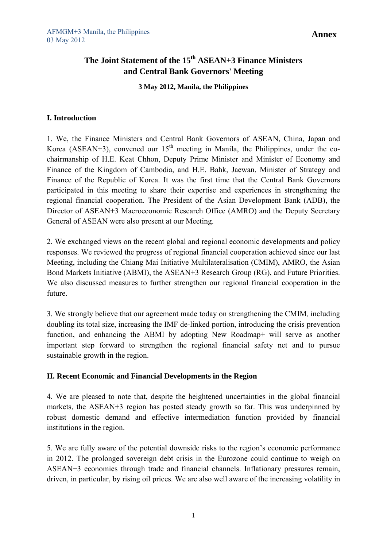**Annex**

# **The Joint Statement of the 15th ASEAN+3 Finance Ministers and Central Bank Governors' Meeting**

**3 May 2012, Manila, the Philippines** 

## **I. Introduction**

1. We, the Finance Ministers and Central Bank Governors of ASEAN, China, Japan and Korea (ASEAN+3), convened our  $15<sup>th</sup>$  meeting in Manila, the Philippines, under the cochairmanship of H.E. Keat Chhon, Deputy Prime Minister and Minister of Economy and Finance of the Kingdom of Cambodia, and H.E. Bahk, Jaewan, Minister of Strategy and Finance of the Republic of Korea. It was the first time that the Central Bank Governors participated in this meeting to share their expertise and experiences in strengthening the regional financial cooperation. The President of the Asian Development Bank (ADB), the Director of ASEAN+3 Macroeconomic Research Office (AMRO) and the Deputy Secretary General of ASEAN were also present at our Meeting.

2. We exchanged views on the recent global and regional economic developments and policy responses. We reviewed the progress of regional financial cooperation achieved since our last Meeting, including the Chiang Mai Initiative Multilateralisation (CMIM), AMRO, the Asian Bond Markets Initiative (ABMI), the ASEAN+3 Research Group (RG), and Future Priorities. We also discussed measures to further strengthen our regional financial cooperation in the future.

3. We strongly believe that our agreement made today on strengthening the CMIM, including doubling its total size, increasing the IMF de-linked portion, introducing the crisis prevention function, and enhancing the ABMI by adopting New Roadmap+ will serve as another important step forward to strengthen the regional financial safety net and to pursue sustainable growth in the region.

## **II. Recent Economic and Financial Developments in the Region**

4. We are pleased to note that, despite the heightened uncertainties in the global financial markets, the ASEAN+3 region has posted steady growth so far. This was underpinned by robust domestic demand and effective intermediation function provided by financial institutions in the region.

5. We are fully aware of the potential downside risks to the region's economic performance in 2012. The prolonged sovereign debt crisis in the Eurozone could continue to weigh on ASEAN+3 economies through trade and financial channels. Inflationary pressures remain, driven, in particular, by rising oil prices. We are also well aware of the increasing volatility in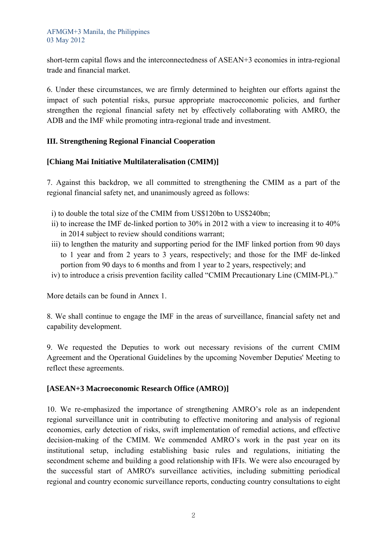short-term capital flows and the interconnectedness of ASEAN+3 economies in intra-regional trade and financial market.

6. Under these circumstances, we are firmly determined to heighten our efforts against the impact of such potential risks, pursue appropriate macroeconomic policies, and further strengthen the regional financial safety net by effectively collaborating with AMRO, the ADB and the IMF while promoting intra-regional trade and investment.

## **III. Strengthening Regional Financial Cooperation**

## **[Chiang Mai Initiative Multilateralisation (CMIM)]**

7. Against this backdrop, we all committed to strengthening the CMIM as a part of the regional financial safety net, and unanimously agreed as follows:

i) to double the total size of the CMIM from US\$120bn to US\$240bn;

- ii) to increase the IMF de-linked portion to 30% in 2012 with a view to increasing it to 40% in 2014 subject to review should conditions warrant;
- iii) to lengthen the maturity and supporting period for the IMF linked portion from 90 days to 1 year and from 2 years to 3 years, respectively; and those for the IMF de-linked portion from 90 days to 6 months and from 1 year to 2 years, respectively; and
- iv) to introduce a crisis prevention facility called "CMIM Precautionary Line (CMIM-PL)."

More details can be found in Annex 1.

8. We shall continue to engage the IMF in the areas of surveillance, financial safety net and capability development.

9. We requested the Deputies to work out necessary revisions of the current CMIM Agreement and the Operational Guidelines by the upcoming November Deputies' Meeting to reflect these agreements.

## **[ASEAN+3 Macroeconomic Research Office (AMRO)]**

10. We re-emphasized the importance of strengthening AMRO's role as an independent regional surveillance unit in contributing to effective monitoring and analysis of regional economies, early detection of risks, swift implementation of remedial actions, and effective decision-making of the CMIM. We commended AMRO's work in the past year on its institutional setup, including establishing basic rules and regulations, initiating the secondment scheme and building a good relationship with IFIs. We were also encouraged by the successful start of AMRO's surveillance activities, including submitting periodical regional and country economic surveillance reports, conducting country consultations to eight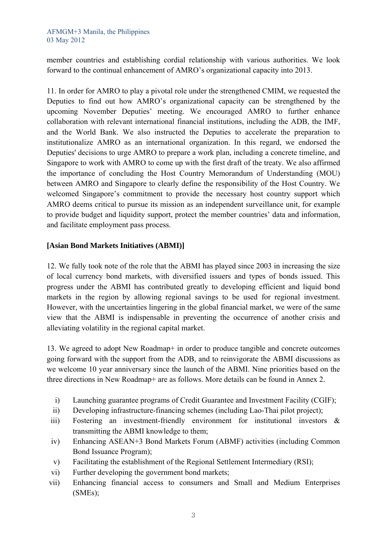member countries and establishing cordial relationship with various authorities. We look forward to the continual enhancement of AMRO's organizational capacity into 2013.

11. In order for AMRO to play a pivotal role under the strengthened CMIM, we requested the Deputies to find out how AMRO's organizational capacity can be strengthened by the upcoming November Deputies' meeting. We encouraged AMRO to further enhance collaboration with relevant international financial institutions, including the ADB, the IMF, and the World Bank. We also instructed the Deputies to accelerate the preparation to institutionalize AMRO as an international organization. In this regard, we endorsed the Deputies' decisions to urge AMRO to prepare a work plan, including a concrete timeline, and Singapore to work with AMRO to come up with the first draft of the treaty. We also affirmed the importance of concluding the Host Country Memorandum of Understanding (MOU) between AMRO and Singapore to clearly define the responsibility of the Host Country. We welcomed Singapore's commitment to provide the necessary host country support which AMRO deems critical to pursue its mission as an independent surveillance unit, for example to provide budget and liquidity support, protect the member countries' data and information, and facilitate employment pass process.

## **[Asian Bond Markets Initiatives (ABMI)]**

12. We fully took note of the role that the ABMI has played since 2003 in increasing the size of local currency bond markets, with diversified issuers and types of bonds issued. This progress under the ABMI has contributed greatly to developing efficient and liquid bond markets in the region by allowing regional savings to be used for regional investment. However, with the uncertainties lingering in the global financial market, we were of the same view that the ABMI is indispensable in preventing the occurrence of another crisis and alleviating volatility in the regional capital market.

13. We agreed to adopt New Roadmap+ in order to produce tangible and concrete outcomes going forward with the support from the ADB, and to reinvigorate the ABMI discussions as we welcome 10 year anniversary since the launch of the ABMI. Nine priorities based on the three directions in New Roadmap+ are as follows. More details can be found in Annex 2.

- i) Launching guarantee programs of Credit Guarantee and Investment Facility (CGIF);
- ii) Developing infrastructure-financing schemes (including Lao-Thai pilot project);
- iii) Fostering an investment-friendly environment for institutional investors & transmitting the ABMI knowledge to them;
- iv) Enhancing ASEAN+3 Bond Markets Forum (ABMF) activities (including Common Bond Issuance Program);
- v) Facilitating the establishment of the Regional Settlement Intermediary (RSI);
- vi) Further developing the government bond markets;
- vii) Enhancing financial access to consumers and Small and Medium Enterprises (SMEs);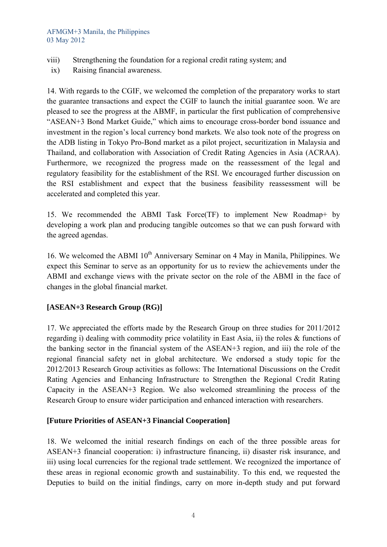#### AFMGM+3 Manila, the Philippines 03 May 2012

- viii) Strengthening the foundation for a regional credit rating system; and
- ix) Raising financial awareness.

14. With regards to the CGIF, we welcomed the completion of the preparatory works to start the guarantee transactions and expect the CGIF to launch the initial guarantee soon. We are pleased to see the progress at the ABMF, in particular the first publication of comprehensive "ASEAN+3 Bond Market Guide," which aims to encourage cross-border bond issuance and investment in the region's local currency bond markets. We also took note of the progress on the ADB listing in Tokyo Pro-Bond market as a pilot project, securitization in Malaysia and Thailand, and collaboration with Association of Credit Rating Agencies in Asia (ACRAA). Furthermore, we recognized the progress made on the reassessment of the legal and regulatory feasibility for the establishment of the RSI. We encouraged further discussion on the RSI establishment and expect that the business feasibility reassessment will be accelerated and completed this year.

15. We recommended the ABMI Task Force(TF) to implement New Roadmap+ by developing a work plan and producing tangible outcomes so that we can push forward with the agreed agendas.

16. We welcomed the ABMI  $10<sup>th</sup>$  Anniversary Seminar on 4 May in Manila, Philippines. We expect this Seminar to serve as an opportunity for us to review the achievements under the ABMI and exchange views with the private sector on the role of the ABMI in the face of changes in the global financial market.

## **[ASEAN+3 Research Group (RG)]**

17. We appreciated the efforts made by the Research Group on three studies for 2011/2012 regarding i) dealing with commodity price volatility in East Asia, ii) the roles & functions of the banking sector in the financial system of the ASEAN+3 region, and iii) the role of the regional financial safety net in global architecture. We endorsed a study topic for the 2012/2013 Research Group activities as follows: The International Discussions on the Credit Rating Agencies and Enhancing Infrastructure to Strengthen the Regional Credit Rating Capacity in the ASEAN+3 Region. We also welcomed streamlining the process of the Research Group to ensure wider participation and enhanced interaction with researchers.

## **[Future Priorities of ASEAN+3 Financial Cooperation]**

18. We welcomed the initial research findings on each of the three possible areas for ASEAN+3 financial cooperation: i) infrastructure financing, ii) disaster risk insurance, and iii) using local currencies for the regional trade settlement. We recognized the importance of these areas in regional economic growth and sustainability. To this end, we requested the Deputies to build on the initial findings, carry on more in-depth study and put forward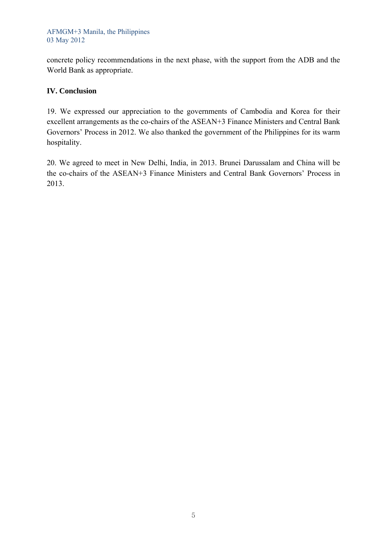#### AFMGM+3 Manila, the Philippines 03 May 2012

concrete policy recommendations in the next phase, with the support from the ADB and the World Bank as appropriate.

## **IV. Conclusion**

19. We expressed our appreciation to the governments of Cambodia and Korea for their excellent arrangements as the co-chairs of the ASEAN+3 Finance Ministers and Central Bank Governors' Process in 2012. We also thanked the government of the Philippines for its warm hospitality.

20. We agreed to meet in New Delhi, India, in 2013. Brunei Darussalam and China will be the co-chairs of the ASEAN+3 Finance Ministers and Central Bank Governors' Process in 2013.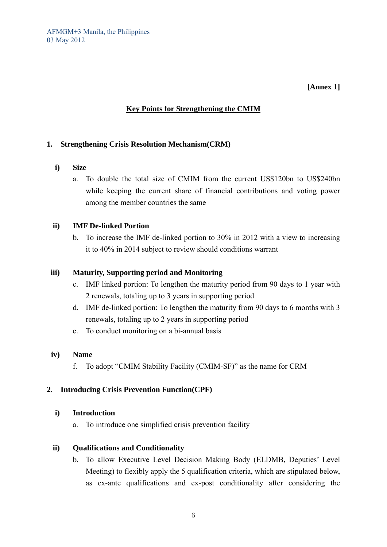## **[Annex 1]**

## **Key Points for Strengthening the CMIM**

## **1. Strengthening Crisis Resolution Mechanism(CRM)**

- **i) Size** 
	- a. To double the total size of CMIM from the current US\$120bn to US\$240bn while keeping the current share of financial contributions and voting power among the member countries the same

#### **ii) IMF De-linked Portion**

b. To increase the IMF de-linked portion to 30% in 2012 with a view to increasing it to 40% in 2014 subject to review should conditions warrant

#### **iii) Maturity, Supporting period and Monitoring**

- c. IMF linked portion: To lengthen the maturity period from 90 days to 1 year with 2 renewals, totaling up to 3 years in supporting period
- d. IMF de-linked portion: To lengthen the maturity from 90 days to 6 months with 3 renewals, totaling up to 2 years in supporting period
- e. To conduct monitoring on a bi-annual basis

#### **iv) Name**

f. To adopt "CMIM Stability Facility (CMIM-SF)" as the name for CRM

## **2. Introducing Crisis Prevention Function(CPF)**

#### **i) Introduction**

a. To introduce one simplified crisis prevention facility

## **ii) Qualifications and Conditionality**

b. To allow Executive Level Decision Making Body (ELDMB, Deputies' Level Meeting) to flexibly apply the 5 qualification criteria, which are stipulated below, as ex-ante qualifications and ex-post conditionality after considering the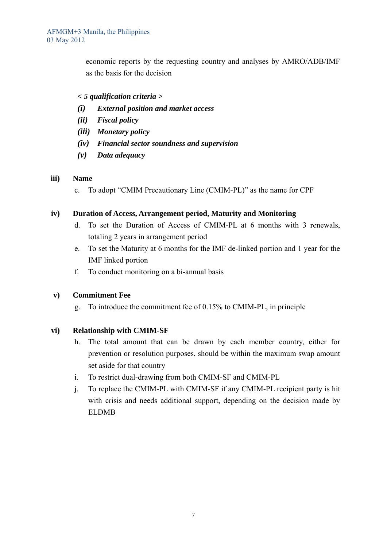economic reports by the requesting country and analyses by AMRO/ADB/IMF as the basis for the decision

## *< 5 qualification criteria >*

- *(i) External position and market access*
- *(ii) Fiscal policy*
- *(iii) Monetary policy*
- *(iv) Financial sector soundness and supervision*
- *(v) Data adequacy*

## **iii) Name**

c. To adopt "CMIM Precautionary Line (CMIM-PL)" as the name for CPF

## **iv) Duration of Access, Arrangement period, Maturity and Monitoring**

- d. To set the Duration of Access of CMIM-PL at 6 months with 3 renewals, totaling 2 years in arrangement period
- e. To set the Maturity at 6 months for the IMF de-linked portion and 1 year for the IMF linked portion
- f. To conduct monitoring on a bi-annual basis

## **v) Commitment Fee**

g. To introduce the commitment fee of 0.15% to CMIM-PL, in principle

## **vi) Relationship with CMIM-SF**

- h. The total amount that can be drawn by each member country, either for prevention or resolution purposes, should be within the maximum swap amount set aside for that country
- i. To restrict dual-drawing from both CMIM-SF and CMIM-PL
- j. To replace the CMIM-PL with CMIM-SF if any CMIM-PL recipient party is hit with crisis and needs additional support, depending on the decision made by ELDMB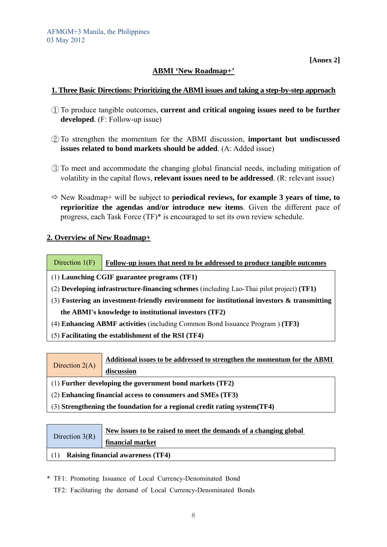**[Annex 2]** 

## **ABMI 'New Roadmap+'**

## **1. Three Basic Directions: Prioritizing the ABMI issues and taking a step-by-step approach**

- ① To produce tangible outcomes, **current and critical ongoing issues need to be further developed**. (F: Follow-up issue)
- ② To strengthen the momentum for the ABMI discussion, **important but undiscussed issues related to bond markets should be added**. (A: Added issue)
- ③ To meet and accommodate the changing global financial needs, including mitigation of volatility in the capital flows, **relevant issues need to be addressed**. (R: relevant issue)
- $\Rightarrow$  New Roadmap+ will be subject to **periodical reviews, for example 3 years of time, to reprioritize the agendas and/or introduce new items**. Given the different pace of progress, each Task Force (TF)\* is encouraged to set its own review schedule.

## **2. Overview of New Roadmap+**

Direction 1(F) **Follow-up issues that need to be addressed to produce tangible outcomes**

- (1) **Launching CGIF guarantee programs (TF1)**
- (2) **Developing infrastructure-financing schemes** (including Lao-Thai pilot project) **(TF1)**
- (3) **Fostering an investment-friendly environment for institutional investors & transmitting the ABMI's knowledge to institutional investors (TF2)**
- (4) **Enhancing ABMF activities** (including Common Bond Issuance Program ) **(TF3)**
- (5) **Facilitating the establishment of the RSI (TF4)**
- Direction 2(A) **Additional issues to be addressed to strengthen the momentum for the ABMI discussion**
- (1) **Further developing the government bond markets (TF2)**
- (2) **Enhancing financial access to consumers and SMEs (TF3)**
- (3) **Strengthening the foundation for a regional credit rating system(TF4)**

|                  | New issues to be raised to meet the demands of a changing global |
|------------------|------------------------------------------------------------------|
| Direction $3(R)$ | financial market                                                 |
|                  | <b>Raising financial awareness (TF4)</b>                         |

\* TF1: Promoting Issuance of Local Currency-Denominated Bond

TF2: Facilitating the demand of Local Currency-Denominated Bonds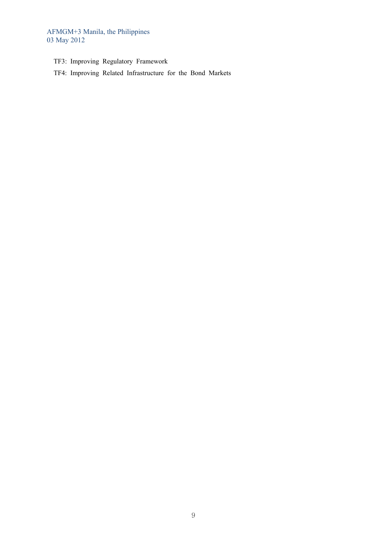AFMGM+3 Manila, the Philippines 03 May 2012

- TF3: Improving Regulatory Framework
- TF4: Improving Related Infrastructure for the Bond Markets